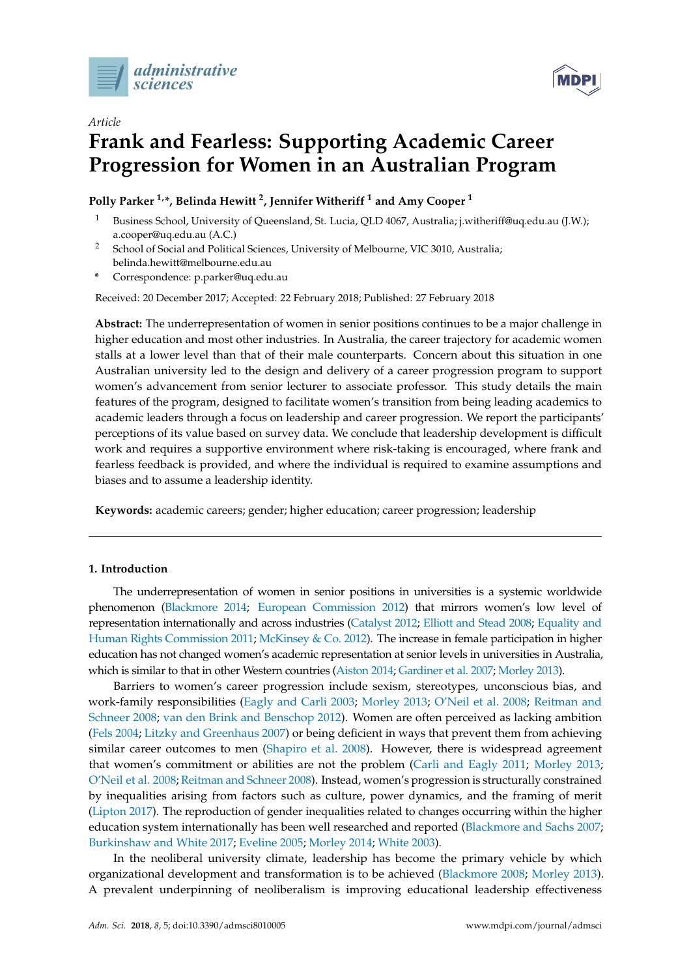



# *Article* **Frank and Fearless: Supporting Academic Career Progression for Women in an Australian Program**

**Polly Parker 1,\*, Belinda Hewitt <sup>2</sup> , Jennifer Witheriff <sup>1</sup> and Amy Cooper <sup>1</sup>**

- <sup>1</sup> Business School, University of Queensland, St. Lucia, QLD 4067, Australia; j.witheriff@uq.edu.au (J.W.); a.cooper@uq.edu.au (A.C.)
- <sup>2</sup> School of Social and Political Sciences, University of Melbourne, VIC 3010, Australia; belinda.hewitt@melbourne.edu.au
- **\*** Correspondence: p.parker@uq.edu.au

Received: 20 December 2017; Accepted: 22 February 2018; Published: 27 February 2018

**Abstract:** The underrepresentation of women in senior positions continues to be a major challenge in higher education and most other industries. In Australia, the career trajectory for academic women stalls at a lower level than that of their male counterparts. Concern about this situation in one Australian university led to the design and delivery of a career progression program to support women's advancement from senior lecturer to associate professor. This study details the main features of the program, designed to facilitate women's transition from being leading academics to academic leaders through a focus on leadership and career progression. We report the participants' perceptions of its value based on survey data. We conclude that leadership development is difficult work and requires a supportive environment where risk-taking is encouraged, where frank and fearless feedback is provided, and where the individual is required to examine assumptions and biases and to assume a leadership identity.

**Keywords:** academic careers; gender; higher education; career progression; leadership

## **1. Introduction**

The underrepresentation of women in senior positions in universities is a systemic worldwide phenomenon [\(Blackmore](#page-15-0) [2014;](#page-15-0) [European Commission](#page-16-0) [2012\)](#page-16-0) that mirrors women's low level of representation internationally and across industries [\(Catalyst](#page-15-1) [2012;](#page-15-1) [Elliott and Stead](#page-15-2) [2008;](#page-15-2) [Equality and](#page-16-1) [Human Rights Commission](#page-16-1) [2011;](#page-16-1) [McKinsey & Co.](#page-16-2) [2012\)](#page-16-2). The increase in female participation in higher education has not changed women's academic representation at senior levels in universities in Australia, which is similar to that in other Western countries [\(Aiston](#page-15-3) [2014;](#page-15-3) [Gardiner et al.](#page-16-3) [2007;](#page-16-3) [Morley](#page-16-4) [2013\)](#page-16-4).

Barriers to women's career progression include sexism, stereotypes, unconscious bias, and work-family responsibilities [\(Eagly and Carli](#page-15-4) [2003;](#page-15-4) [Morley](#page-16-4) [2013;](#page-16-4) [O'Neil et al.](#page-16-5) [2008;](#page-16-5) [Reitman and](#page-17-0) [Schneer](#page-17-0) [2008;](#page-17-0) [van den Brink and Benschop](#page-17-1) [2012\)](#page-17-1). Women are often perceived as lacking ambition [\(Fels](#page-16-6) [2004;](#page-16-6) [Litzky and Greenhaus](#page-16-7) [2007\)](#page-16-7) or being deficient in ways that prevent them from achieving similar career outcomes to men [\(Shapiro et al.](#page-17-2) [2008\)](#page-17-2). However, there is widespread agreement that women's commitment or abilities are not the problem [\(Carli and Eagly](#page-15-5) [2011;](#page-15-5) [Morley](#page-16-4) [2013;](#page-16-4) [O'Neil et al.](#page-16-5) [2008;](#page-16-5) [Reitman and Schneer](#page-17-0) [2008\)](#page-17-0). Instead, women's progression is structurally constrained by inequalities arising from factors such as culture, power dynamics, and the framing of merit [\(Lipton](#page-16-8) [2017\)](#page-16-8). The reproduction of gender inequalities related to changes occurring within the higher education system internationally has been well researched and reported [\(Blackmore and Sachs](#page-15-6) [2007;](#page-15-6) [Burkinshaw and White](#page-15-7) [2017;](#page-15-7) [Eveline](#page-16-9) [2005;](#page-16-9) [Morley](#page-16-10) [2014;](#page-16-10) [White](#page-17-3) [2003\)](#page-17-3).

In the neoliberal university climate, leadership has become the primary vehicle by which organizational development and transformation is to be achieved [\(Blackmore](#page-15-8) [2008;](#page-15-8) [Morley](#page-16-4) [2013\)](#page-16-4). A prevalent underpinning of neoliberalism is improving educational leadership effectiveness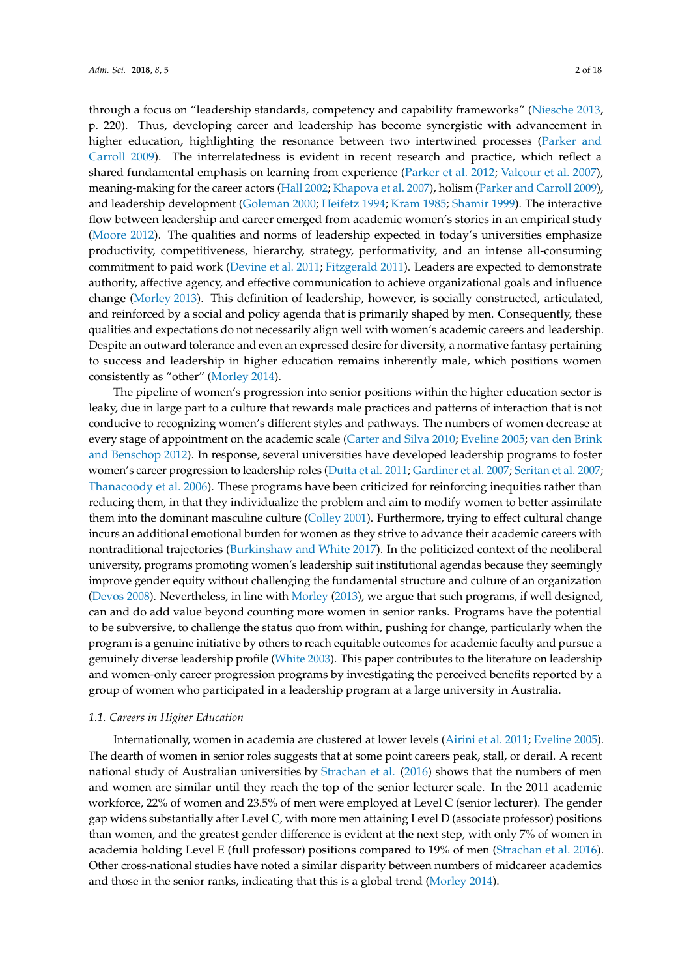through a focus on "leadership standards, competency and capability frameworks" [\(Niesche](#page-16-11) [2013,](#page-16-11) p. 220). Thus, developing career and leadership has become synergistic with advancement in higher education, highlighting the resonance between two intertwined processes [\(Parker and](#page-16-12) [Carroll](#page-16-12) [2009\)](#page-16-12). The interrelatedness is evident in recent research and practice, which reflect a shared fundamental emphasis on learning from experience [\(Parker et al.](#page-16-13) [2012;](#page-16-13) [Valcour et al.](#page-17-4) [2007\)](#page-17-4), meaning-making for the career actors [\(Hall](#page-16-14) [2002;](#page-16-14) [Khapova et al.](#page-16-15) [2007\)](#page-16-15), holism [\(Parker and Carroll](#page-16-12) [2009\)](#page-16-12), and leadership development [\(Goleman](#page-16-16) [2000;](#page-16-16) [Heifetz](#page-16-17) [1994;](#page-16-17) [Kram](#page-16-18) [1985;](#page-16-18) [Shamir](#page-17-5) [1999\)](#page-17-5). The interactive flow between leadership and career emerged from academic women's stories in an empirical study [\(Moore](#page-16-19) [2012\)](#page-16-19). The qualities and norms of leadership expected in today's universities emphasize productivity, competitiveness, hierarchy, strategy, performativity, and an intense all-consuming commitment to paid work [\(Devine et al.](#page-15-9) [2011;](#page-15-9) [Fitzgerald](#page-16-20) [2011\)](#page-16-20). Leaders are expected to demonstrate authority, affective agency, and effective communication to achieve organizational goals and influence change [\(Morley](#page-16-4) [2013\)](#page-16-4). This definition of leadership, however, is socially constructed, articulated, and reinforced by a social and policy agenda that is primarily shaped by men. Consequently, these qualities and expectations do not necessarily align well with women's academic careers and leadership. Despite an outward tolerance and even an expressed desire for diversity, a normative fantasy pertaining to success and leadership in higher education remains inherently male, which positions women consistently as "other" [\(Morley](#page-16-10) [2014\)](#page-16-10).

The pipeline of women's progression into senior positions within the higher education sector is leaky, due in large part to a culture that rewards male practices and patterns of interaction that is not conducive to recognizing women's different styles and pathways. The numbers of women decrease at every stage of appointment on the academic scale [\(Carter and Silva](#page-15-10) [2010;](#page-15-10) [Eveline](#page-16-9) [2005;](#page-16-9) [van den Brink](#page-17-1) [and Benschop](#page-17-1) [2012\)](#page-17-1). In response, several universities have developed leadership programs to foster women's career progression to leadership roles [\(Dutta et al.](#page-15-11) [2011;](#page-15-11) [Gardiner et al.](#page-16-3) [2007;](#page-16-3) [Seritan et al.](#page-17-6) [2007;](#page-17-6) [Thanacoody et al.](#page-17-7) [2006\)](#page-17-7). These programs have been criticized for reinforcing inequities rather than reducing them, in that they individualize the problem and aim to modify women to better assimilate them into the dominant masculine culture [\(Colley](#page-15-12) [2001\)](#page-15-12). Furthermore, trying to effect cultural change incurs an additional emotional burden for women as they strive to advance their academic careers with nontraditional trajectories [\(Burkinshaw and White](#page-15-7) [2017\)](#page-15-7). In the politicized context of the neoliberal university, programs promoting women's leadership suit institutional agendas because they seemingly improve gender equity without challenging the fundamental structure and culture of an organization [\(Devos](#page-15-13) [2008\)](#page-15-13). Nevertheless, in line with [Morley](#page-16-4) [\(2013\)](#page-16-4), we argue that such programs, if well designed, can and do add value beyond counting more women in senior ranks. Programs have the potential to be subversive, to challenge the status quo from within, pushing for change, particularly when the program is a genuine initiative by others to reach equitable outcomes for academic faculty and pursue a genuinely diverse leadership profile [\(White](#page-17-3) [2003\)](#page-17-3). This paper contributes to the literature on leadership and women-only career progression programs by investigating the perceived benefits reported by a group of women who participated in a leadership program at a large university in Australia.

## *1.1. Careers in Higher Education*

Internationally, women in academia are clustered at lower levels [\(Airini et al.](#page-14-0) [2011;](#page-14-0) [Eveline](#page-16-9) [2005\)](#page-16-9). The dearth of women in senior roles suggests that at some point careers peak, stall, or derail. A recent national study of Australian universities by [Strachan et al.](#page-17-8) [\(2016\)](#page-17-8) shows that the numbers of men and women are similar until they reach the top of the senior lecturer scale. In the 2011 academic workforce, 22% of women and 23.5% of men were employed at Level C (senior lecturer). The gender gap widens substantially after Level C, with more men attaining Level D (associate professor) positions than women, and the greatest gender difference is evident at the next step, with only 7% of women in academia holding Level E (full professor) positions compared to 19% of men [\(Strachan et al.](#page-17-8) [2016\)](#page-17-8). Other cross-national studies have noted a similar disparity between numbers of midcareer academics and those in the senior ranks, indicating that this is a global trend [\(Morley](#page-16-10) [2014\)](#page-16-10).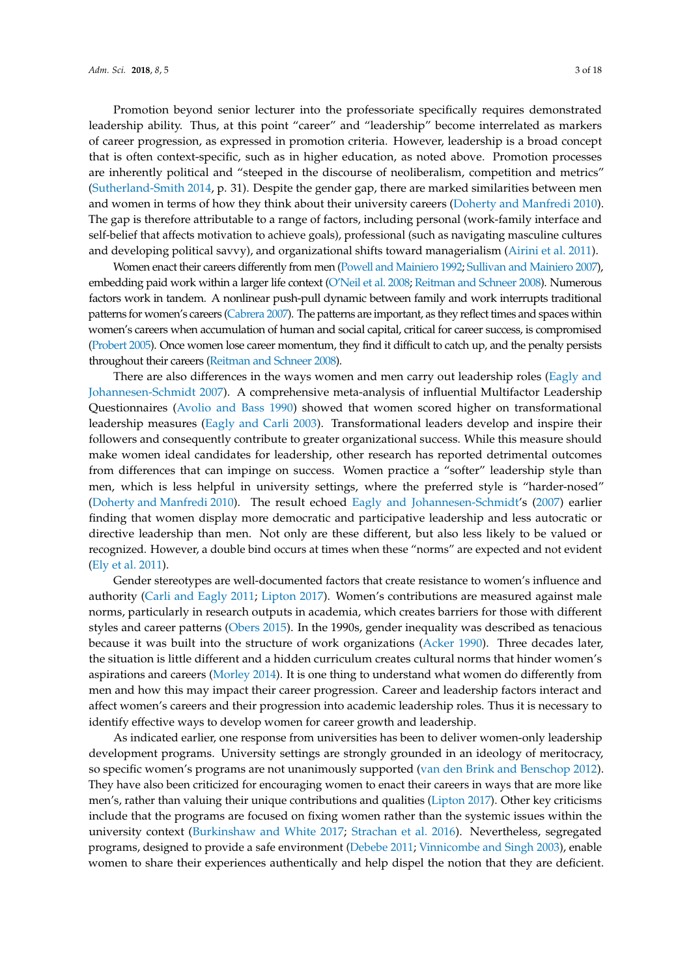Promotion beyond senior lecturer into the professoriate specifically requires demonstrated leadership ability. Thus, at this point "career" and "leadership" become interrelated as markers of career progression, as expressed in promotion criteria. However, leadership is a broad concept that is often context-specific, such as in higher education, as noted above. Promotion processes are inherently political and "steeped in the discourse of neoliberalism, competition and metrics" [\(Sutherland-Smith](#page-17-9) [2014,](#page-17-9) p. 31). Despite the gender gap, there are marked similarities between men and women in terms of how they think about their university careers [\(Doherty and Manfredi](#page-15-14) [2010\)](#page-15-14). The gap is therefore attributable to a range of factors, including personal (work-family interface and self-belief that affects motivation to achieve goals), professional (such as navigating masculine cultures and developing political savvy), and organizational shifts toward managerialism [\(Airini et al.](#page-14-0) [2011\)](#page-14-0).

Women enact their careers differently from men [\(Powell and Mainiero](#page-17-10) [1992;](#page-17-10) [Sullivan and Mainiero](#page-17-11) [2007\)](#page-17-11), embedding paid work within a larger life context [\(O'Neil et al.](#page-16-5) [2008;](#page-16-5) [Reitman and Schneer](#page-17-0) [2008\)](#page-17-0). Numerous factors work in tandem. A nonlinear push-pull dynamic between family and work interrupts traditional patterns for women's careers [\(Cabrera](#page-15-15) [2007\)](#page-15-15). The patterns are important, as they reflect times and spaces within women's careers when accumulation of human and social capital, critical for career success, is compromised [\(Probert](#page-17-12) [2005\)](#page-17-12). Once women lose career momentum, they find it difficult to catch up, and the penalty persists throughout their careers [\(Reitman and Schneer](#page-17-0) [2008\)](#page-17-0).

There are also differences in the ways women and men carry out leadership roles [\(Eagly and](#page-15-16) [Johannesen-Schmidt](#page-15-16) [2007\)](#page-15-16). A comprehensive meta-analysis of influential Multifactor Leadership Questionnaires [\(Avolio and Bass](#page-15-17) [1990\)](#page-15-17) showed that women scored higher on transformational leadership measures [\(Eagly and Carli](#page-15-4) [2003\)](#page-15-4). Transformational leaders develop and inspire their followers and consequently contribute to greater organizational success. While this measure should make women ideal candidates for leadership, other research has reported detrimental outcomes from differences that can impinge on success. Women practice a "softer" leadership style than men, which is less helpful in university settings, where the preferred style is "harder-nosed" [\(Doherty and Manfredi](#page-15-14) [2010\)](#page-15-14). The result echoed [Eagly and Johannesen-Schmidt'](#page-15-16)s [\(2007\)](#page-15-16) earlier finding that women display more democratic and participative leadership and less autocratic or directive leadership than men. Not only are these different, but also less likely to be valued or recognized. However, a double bind occurs at times when these "norms" are expected and not evident [\(Ely et al.](#page-16-21) [2011\)](#page-16-21).

Gender stereotypes are well-documented factors that create resistance to women's influence and authority [\(Carli and Eagly](#page-15-5) [2011;](#page-15-5) [Lipton](#page-16-8) [2017\)](#page-16-8). Women's contributions are measured against male norms, particularly in research outputs in academia, which creates barriers for those with different styles and career patterns [\(Obers](#page-16-22) [2015\)](#page-16-22). In the 1990s, gender inequality was described as tenacious because it was built into the structure of work organizations [\(Acker](#page-14-1) [1990\)](#page-14-1). Three decades later, the situation is little different and a hidden curriculum creates cultural norms that hinder women's aspirations and careers [\(Morley](#page-16-10) [2014\)](#page-16-10). It is one thing to understand what women do differently from men and how this may impact their career progression. Career and leadership factors interact and affect women's careers and their progression into academic leadership roles. Thus it is necessary to identify effective ways to develop women for career growth and leadership.

As indicated earlier, one response from universities has been to deliver women-only leadership development programs. University settings are strongly grounded in an ideology of meritocracy, so specific women's programs are not unanimously supported [\(van den Brink and Benschop](#page-17-1) [2012\)](#page-17-1). They have also been criticized for encouraging women to enact their careers in ways that are more like men's, rather than valuing their unique contributions and qualities [\(Lipton](#page-16-8) [2017\)](#page-16-8). Other key criticisms include that the programs are focused on fixing women rather than the systemic issues within the university context [\(Burkinshaw and White](#page-15-7) [2017;](#page-15-7) [Strachan et al.](#page-17-8) [2016\)](#page-17-8). Nevertheless, segregated programs, designed to provide a safe environment [\(Debebe](#page-15-18) [2011;](#page-15-18) [Vinnicombe and Singh](#page-17-13) [2003\)](#page-17-13), enable women to share their experiences authentically and help dispel the notion that they are deficient.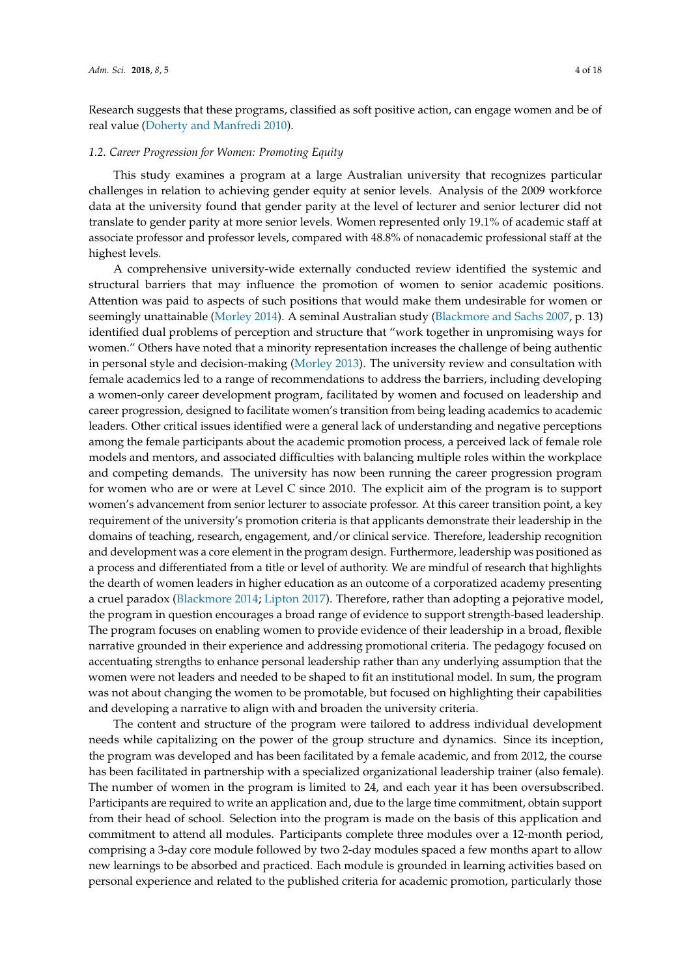Research suggests that these programs, classified as soft positive action, can engage women and be of real value [\(Doherty and Manfredi](#page-15-14) [2010\)](#page-15-14).

## *1.2. Career Progression for Women: Promoting Equity*

This study examines a program at a large Australian university that recognizes particular challenges in relation to achieving gender equity at senior levels. Analysis of the 2009 workforce data at the university found that gender parity at the level of lecturer and senior lecturer did not translate to gender parity at more senior levels. Women represented only 19.1% of academic staff at associate professor and professor levels, compared with 48.8% of nonacademic professional staff at the highest levels.

A comprehensive university-wide externally conducted review identified the systemic and structural barriers that may influence the promotion of women to senior academic positions. Attention was paid to aspects of such positions that would make them undesirable for women or seemingly unattainable [\(Morley](#page-16-10) [2014\)](#page-16-10). A seminal Australian study [\(Blackmore and Sachs](#page-15-6) [2007,](#page-15-6) p. 13) identified dual problems of perception and structure that "work together in unpromising ways for women." Others have noted that a minority representation increases the challenge of being authentic in personal style and decision-making [\(Morley](#page-16-4) [2013\)](#page-16-4). The university review and consultation with female academics led to a range of recommendations to address the barriers, including developing a women-only career development program, facilitated by women and focused on leadership and career progression, designed to facilitate women's transition from being leading academics to academic leaders. Other critical issues identified were a general lack of understanding and negative perceptions among the female participants about the academic promotion process, a perceived lack of female role models and mentors, and associated difficulties with balancing multiple roles within the workplace and competing demands. The university has now been running the career progression program for women who are or were at Level C since 2010. The explicit aim of the program is to support women's advancement from senior lecturer to associate professor. At this career transition point, a key requirement of the university's promotion criteria is that applicants demonstrate their leadership in the domains of teaching, research, engagement, and/or clinical service. Therefore, leadership recognition and development was a core element in the program design. Furthermore, leadership was positioned as a process and differentiated from a title or level of authority. We are mindful of research that highlights the dearth of women leaders in higher education as an outcome of a corporatized academy presenting a cruel paradox [\(Blackmore](#page-15-0) [2014;](#page-15-0) [Lipton](#page-16-8) [2017\)](#page-16-8). Therefore, rather than adopting a pejorative model, the program in question encourages a broad range of evidence to support strength-based leadership. The program focuses on enabling women to provide evidence of their leadership in a broad, flexible narrative grounded in their experience and addressing promotional criteria. The pedagogy focused on accentuating strengths to enhance personal leadership rather than any underlying assumption that the women were not leaders and needed to be shaped to fit an institutional model. In sum, the program was not about changing the women to be promotable, but focused on highlighting their capabilities and developing a narrative to align with and broaden the university criteria.

The content and structure of the program were tailored to address individual development needs while capitalizing on the power of the group structure and dynamics. Since its inception, the program was developed and has been facilitated by a female academic, and from 2012, the course has been facilitated in partnership with a specialized organizational leadership trainer (also female). The number of women in the program is limited to 24, and each year it has been oversubscribed. Participants are required to write an application and, due to the large time commitment, obtain support from their head of school. Selection into the program is made on the basis of this application and commitment to attend all modules. Participants complete three modules over a 12-month period, comprising a 3-day core module followed by two 2-day modules spaced a few months apart to allow new learnings to be absorbed and practiced. Each module is grounded in learning activities based on personal experience and related to the published criteria for academic promotion, particularly those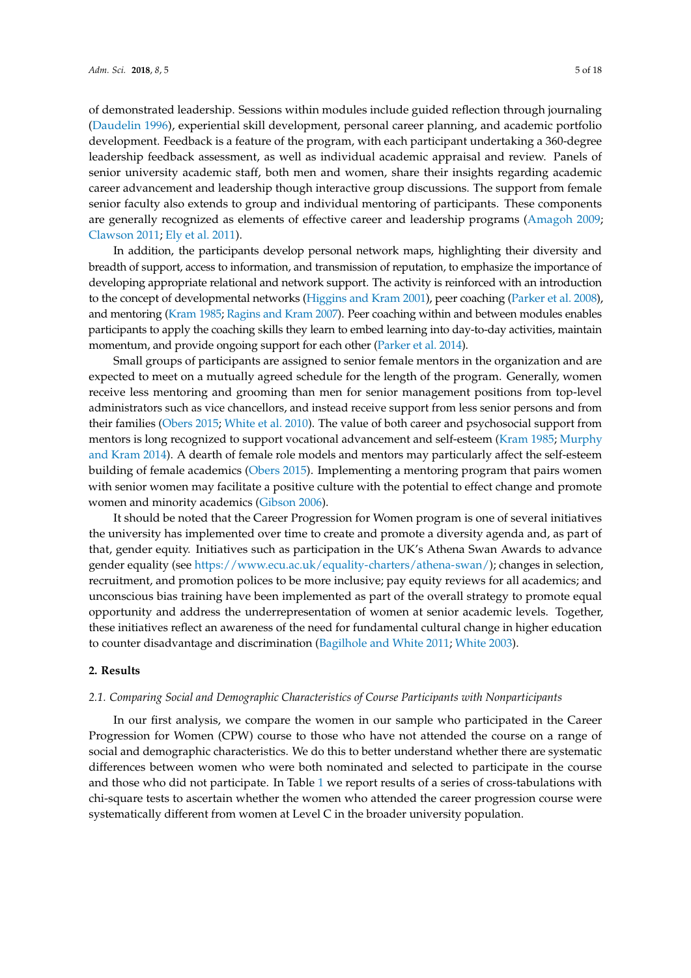of demonstrated leadership. Sessions within modules include guided reflection through journaling [\(Daudelin](#page-15-19) [1996\)](#page-15-19), experiential skill development, personal career planning, and academic portfolio development. Feedback is a feature of the program, with each participant undertaking a 360-degree leadership feedback assessment, as well as individual academic appraisal and review. Panels of senior university academic staff, both men and women, share their insights regarding academic career advancement and leadership though interactive group discussions. The support from female senior faculty also extends to group and individual mentoring of participants. These components are generally recognized as elements of effective career and leadership programs [\(Amagoh](#page-15-20) [2009;](#page-15-20) [Clawson](#page-15-21) [2011;](#page-15-21) [Ely et al.](#page-16-21) [2011\)](#page-16-21).

In addition, the participants develop personal network maps, highlighting their diversity and breadth of support, access to information, and transmission of reputation, to emphasize the importance of developing appropriate relational and network support. The activity is reinforced with an introduction to the concept of developmental networks [\(Higgins and Kram](#page-16-23) [2001\)](#page-16-23), peer coaching [\(Parker et al.](#page-16-24) [2008\)](#page-16-24), and mentoring [\(Kram](#page-16-18) [1985;](#page-16-18) [Ragins and Kram](#page-17-14) [2007\)](#page-17-14). Peer coaching within and between modules enables participants to apply the coaching skills they learn to embed learning into day-to-day activities, maintain momentum, and provide ongoing support for each other [\(Parker et al.](#page-16-25) [2014\)](#page-16-25).

Small groups of participants are assigned to senior female mentors in the organization and are expected to meet on a mutually agreed schedule for the length of the program. Generally, women receive less mentoring and grooming than men for senior management positions from top-level administrators such as vice chancellors, and instead receive support from less senior persons and from their families [\(Obers](#page-16-22) [2015;](#page-16-22) [White et al.](#page-17-15) [2010\)](#page-17-15). The value of both career and psychosocial support from mentors is long recognized to support vocational advancement and self-esteem [\(Kram](#page-16-18) [1985;](#page-16-18) [Murphy](#page-16-26) [and Kram](#page-16-26) [2014\)](#page-16-26). A dearth of female role models and mentors may particularly affect the self-esteem building of female academics [\(Obers](#page-16-22) [2015\)](#page-16-22). Implementing a mentoring program that pairs women with senior women may facilitate a positive culture with the potential to effect change and promote women and minority academics [\(Gibson](#page-16-27) [2006\)](#page-16-27).

It should be noted that the Career Progression for Women program is one of several initiatives the university has implemented over time to create and promote a diversity agenda and, as part of that, gender equity. Initiatives such as participation in the UK's Athena Swan Awards to advance gender equality (see [https://www.ecu.ac.uk/equality-charters/athena-swan/\)](https://www.ecu.ac.uk/equality-charters/athena-swan/); changes in selection, recruitment, and promotion polices to be more inclusive; pay equity reviews for all academics; and unconscious bias training have been implemented as part of the overall strategy to promote equal opportunity and address the underrepresentation of women at senior academic levels. Together, these initiatives reflect an awareness of the need for fundamental cultural change in higher education to counter disadvantage and discrimination [\(Bagilhole and White](#page-15-22) [2011;](#page-15-22) [White](#page-17-3) [2003\)](#page-17-3).

#### **2. Results**

#### *2.1. Comparing Social and Demographic Characteristics of Course Participants with Nonparticipants*

In our first analysis, we compare the women in our sample who participated in the Career Progression for Women (CPW) course to those who have not attended the course on a range of social and demographic characteristics. We do this to better understand whether there are systematic differences between women who were both nominated and selected to participate in the course and those who did not participate. In Table [1](#page-5-0) we report results of a series of cross-tabulations with chi-square tests to ascertain whether the women who attended the career progression course were systematically different from women at Level C in the broader university population.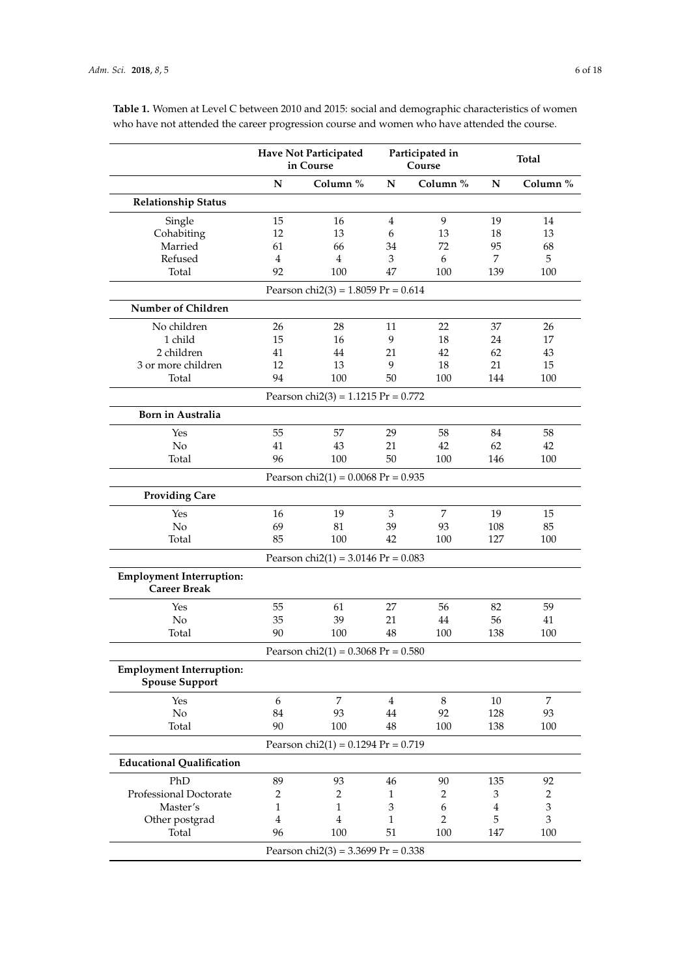|                                                          | <b>Have Not Participated</b><br>in Course |                                        | Participated in<br>Course   |                | <b>Total</b>   |                             |
|----------------------------------------------------------|-------------------------------------------|----------------------------------------|-----------------------------|----------------|----------------|-----------------------------|
|                                                          | ${\bf N}$                                 | Column %                               | $\mathbf N$                 | Column %       | N              | Column %                    |
| <b>Relationship Status</b>                               |                                           |                                        |                             |                |                |                             |
| Single                                                   | 15                                        | 16                                     | 4                           | 9              | 19             | 14                          |
| Cohabiting                                               | 12                                        | 13                                     | 6                           | 13             | 18             | 13                          |
| Married                                                  | 61                                        | 66                                     | 34                          | 72             | 95             | 68                          |
| Refused                                                  | 4                                         | $\overline{4}$                         | 3                           | 6              | 7              | 5                           |
| Total                                                    | 92                                        | 100                                    | 47                          | 100            | 139            | 100                         |
|                                                          |                                           | Pearson chi $2(3) = 1.8059$ Pr = 0.614 |                             |                |                |                             |
| Number of Children                                       |                                           |                                        |                             |                |                |                             |
| No children                                              | 26                                        | 28                                     | 11                          | 22             | 37             | 26                          |
| 1 child                                                  | 15                                        | 16                                     | 9                           | 18             | 24             | 17                          |
| 2 children                                               | 41                                        | 44                                     | 21                          | 42             | 62             | 43                          |
| 3 or more children                                       | 12                                        | 13                                     | 9                           | 18             | 21             | 15                          |
| Total                                                    | 94                                        | 100                                    | 50                          | 100            | 144            | 100                         |
|                                                          |                                           | Pearson chi $2(3) = 1.1215$ Pr = 0.772 |                             |                |                |                             |
| <b>Born in Australia</b>                                 |                                           |                                        |                             |                |                |                             |
| Yes                                                      | 55                                        | 57                                     | 29                          | 58             | 84             | 58                          |
| No                                                       | 41                                        | 43                                     | 21                          | 42             | 62             | 42                          |
| Total                                                    | 96                                        | 100                                    | 50                          | 100            | 146            | 100                         |
|                                                          |                                           | Pearson chi $2(1) = 0.0068$ Pr = 0.935 |                             |                |                |                             |
| <b>Providing Care</b>                                    |                                           |                                        |                             |                |                |                             |
| Yes                                                      | 16                                        | 19                                     | $\mathfrak{Z}$              | 7              | 19             | 15                          |
| No                                                       | 69                                        | 81                                     | 39                          | 93             | 108            | 85                          |
| Total                                                    | 85                                        | 100                                    | 42                          | 100            | 127            | 100                         |
|                                                          |                                           | Pearson chi $2(1) = 3.0146$ Pr = 0.083 |                             |                |                |                             |
| <b>Employment Interruption:</b><br><b>Career Break</b>   |                                           |                                        |                             |                |                |                             |
| Yes                                                      | 55                                        | 61                                     | 27                          | 56             | 82             | 59                          |
| No                                                       | 35                                        | 39                                     | 21                          | 44             | 56             | 41                          |
| Total                                                    | 90                                        | 100                                    | 48                          | 100            | 138            | 100                         |
|                                                          |                                           | Pearson chi $2(1) = 0.3068$ Pr = 0.580 |                             |                |                |                             |
| <b>Employment Interruption:</b><br><b>Spouse Support</b> |                                           |                                        |                             |                |                |                             |
| Yes                                                      | 6                                         | 7                                      | $\overline{4}$              | $\,8\,$        | 10             | $\overline{7}$              |
| $\rm No$                                                 | 84                                        | 93                                     | 44                          | 92             | 128            | 93                          |
| Total                                                    | 90                                        | 100                                    | 48                          | 100            | 138            | 100                         |
|                                                          |                                           | Pearson chi $2(1) = 0.1294$ Pr = 0.719 |                             |                |                |                             |
| <b>Educational Qualification</b>                         |                                           |                                        |                             |                |                |                             |
| PhD                                                      | 89                                        | 93                                     | 46                          | 90             | 135            | 92                          |
| Professional Doctorate                                   | $\overline{c}$                            | 2                                      | 1                           | 2              | 3              | $\overline{2}$              |
| Master's                                                 | $\mathbf{1}$                              | $\mathbf{1}$                           | $\ensuremath{\mathfrak{Z}}$ | 6              | $\overline{4}$ | $\ensuremath{\mathfrak{Z}}$ |
| Other postgrad                                           | $\overline{4}$                            | $\overline{\mathbf{4}}$                | 1                           | $\overline{2}$ | 5              | 3                           |
| Total                                                    | 96                                        | 100                                    | 51                          | 100            | 147            | 100                         |

<span id="page-5-0"></span>**Table 1.** Women at Level C between 2010 and 2015: social and demographic characteristics of women who have not attended the career progression course and women who have attended the course.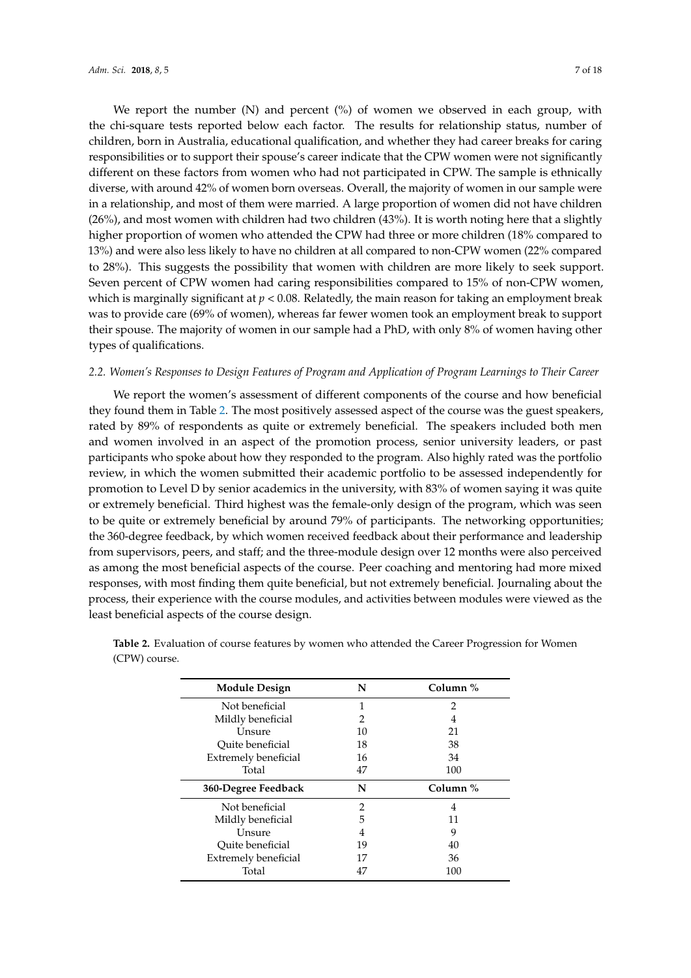We report the number  $(N)$  and percent  $(\%)$  of women we observed in each group, with the chi-square tests reported below each factor. The results for relationship status, number of children, born in Australia, educational qualification, and whether they had career breaks for caring responsibilities or to support their spouse's career indicate that the CPW women were not significantly different on these factors from women who had not participated in CPW. The sample is ethnically diverse, with around 42% of women born overseas. Overall, the majority of women in our sample were in a relationship, and most of them were married. A large proportion of women did not have children (26%), and most women with children had two children (43%). It is worth noting here that a slightly higher proportion of women who attended the CPW had three or more children (18% compared to 13%) and were also less likely to have no children at all compared to non-CPW women (22% compared to 28%). This suggests the possibility that women with children are more likely to seek support. Seven percent of CPW women had caring responsibilities compared to 15% of non-CPW women, which is marginally significant at  $p < 0.08$ . Relatedly, the main reason for taking an employment break was to provide care (69% of women), whereas far fewer women took an employment break to support their spouse. The majority of women in our sample had a PhD, with only 8% of women having other types of qualifications.

## *2.2. Women's Responses to Design Features of Program and Application of Program Learnings to Their Career*

We report the women's assessment of different components of the course and how beneficial they found them in Table [2.](#page-8-0) The most positively assessed aspect of the course was the guest speakers, rated by 89% of respondents as quite or extremely beneficial. The speakers included both men and women involved in an aspect of the promotion process, senior university leaders, or past participants who spoke about how they responded to the program. Also highly rated was the portfolio review, in which the women submitted their academic portfolio to be assessed independently for promotion to Level D by senior academics in the university, with 83% of women saying it was quite or extremely beneficial. Third highest was the female-only design of the program, which was seen to be quite or extremely beneficial by around 79% of participants. The networking opportunities; the 360-degree feedback, by which women received feedback about their performance and leadership from supervisors, peers, and staff; and the three-module design over 12 months were also perceived as among the most beneficial aspects of the course. Peer coaching and mentoring had more mixed responses, with most finding them quite beneficial, but not extremely beneficial. Journaling about the process, their experience with the course modules, and activities between modules were viewed as the least beneficial aspects of the course design.

| <b>Module Design</b> | N  | Column % |  |
|----------------------|----|----------|--|
| Not beneficial       | 1  | 2        |  |
| Mildly beneficial    | 2  | 4        |  |
| Unsure               | 10 | 21       |  |
| Quite beneficial     | 18 | 38       |  |
| Extremely beneficial | 16 | 34       |  |
| Total                | 47 | 100      |  |
| 360-Degree Feedback  | N  | Column % |  |
| Not beneficial       | 2  | 4        |  |
| Mildly beneficial    | 5  | 11       |  |
| Unsure               | 4  | 9        |  |
| Ouite beneficial     | 19 | 40       |  |
| Extremely beneficial | 17 | 36       |  |
| Total                | 47 | 100      |  |

**Table 2.** Evaluation of course features by women who attended the Career Progression for Women (CPW) course.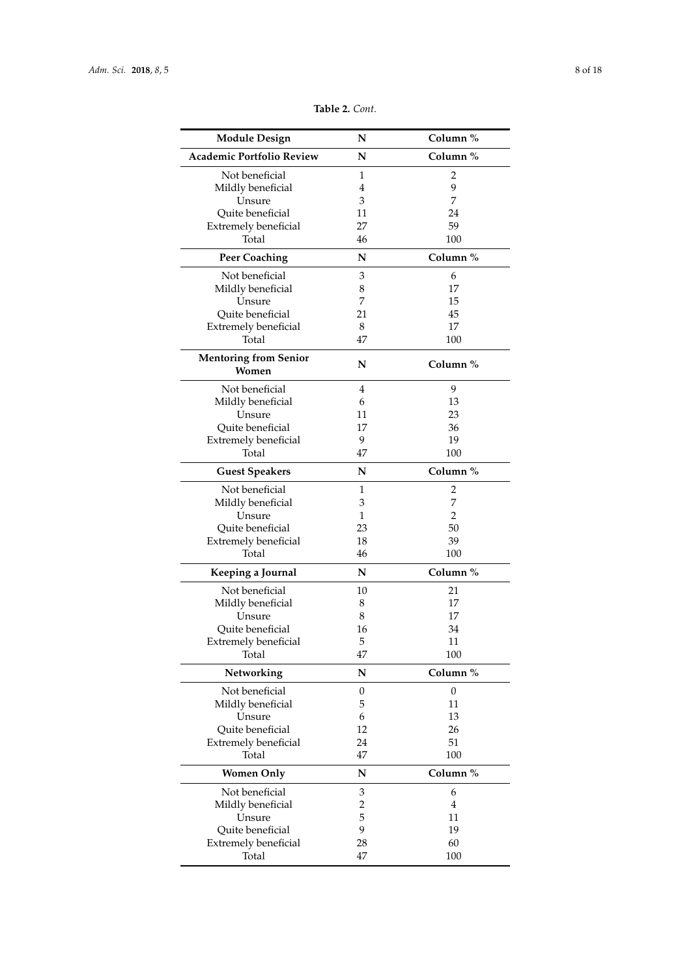| <b>Module Design</b>             | N                | Column %         |  |
|----------------------------------|------------------|------------------|--|
| <b>Academic Portfolio Review</b> | N                | Column %         |  |
| Not beneficial                   | 1                | 2                |  |
| Mildly beneficial                | 4                | 9                |  |
| Unsure                           | 3                | 7                |  |
| Quite beneficial                 | 11               | 24               |  |
| <b>Extremely beneficial</b>      | 27               | 59               |  |
| Total                            | 46               | 100              |  |
|                                  |                  |                  |  |
| <b>Peer Coaching</b>             | N                | Column %         |  |
| Not beneficial                   | 3                | 6                |  |
| Mildly beneficial                | 8                | 17               |  |
| Unsure                           | 7                | 15               |  |
| Quite beneficial                 | 21               | 45               |  |
| <b>Extremely beneficial</b>      | 8                | 17               |  |
| Total                            | 47               | 100              |  |
| <b>Mentoring from Senior</b>     | N                | Column %         |  |
| Women                            |                  |                  |  |
| Not beneficial                   | $\overline{4}$   | 9                |  |
| Mildly beneficial                | 6                | 13               |  |
| Unsure                           | 11               | 23               |  |
| Quite beneficial                 | 17               | 36               |  |
| Extremely beneficial             | 9                | 19               |  |
| Total                            | 47               | 100              |  |
| <b>Guest Speakers</b>            | N                | Column %         |  |
| Not beneficial                   | 1                | 2                |  |
|                                  | 3                | 7                |  |
| Mildly beneficial                |                  |                  |  |
| Unsure                           | 1                | 2                |  |
| Quite beneficial                 | 23               | 50               |  |
| Extremely beneficial             | 18               | 39               |  |
| Total                            | 46               | 100              |  |
| Keeping a Journal                | N                | Column %         |  |
| Not beneficial                   | 10               | 21               |  |
| Mildly beneficial                | 8                | 17               |  |
| Unsure                           | 8                | 17               |  |
| Quite beneficial                 | 16               | 34               |  |
| <b>Extremely beneficial</b>      | 5                | 11               |  |
| Total                            | 47               | 100              |  |
| Networking                       | N                | Column %         |  |
| Not beneficial                   | $\boldsymbol{0}$ | $\boldsymbol{0}$ |  |
| Mildly beneficial                | 5                | 11               |  |
| Unsure                           | 6                | 13               |  |
| Quite beneficial                 | 12               | 26               |  |
|                                  |                  |                  |  |
| <b>Extremely beneficial</b>      | 24               | 51               |  |
| Total                            | 47               | 100              |  |
| <b>Women Only</b>                | N                | Column %         |  |
| Not beneficial                   | 3                | 6                |  |
| Mildly beneficial                | $\overline{c}$   | $\overline{4}$   |  |
| Unsure                           | 5                | 11               |  |
| Quite beneficial                 | 9                | 19               |  |
| <b>Extremely beneficial</b>      | 28               | 60               |  |
| Total                            | 47               | 100              |  |
|                                  |                  |                  |  |

**Table 2.** *Cont.*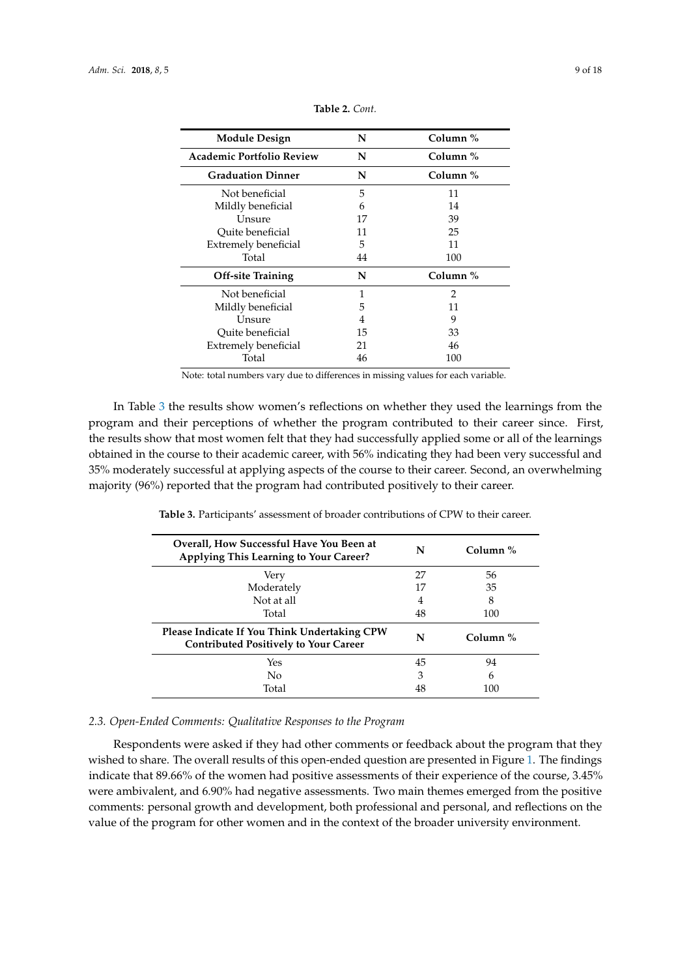<span id="page-8-0"></span>

| <b>Module Design</b>             | N  | Column % |  |
|----------------------------------|----|----------|--|
| <b>Academic Portfolio Review</b> | N  | Column % |  |
| <b>Graduation Dinner</b>         | N  | Column % |  |
| Not beneficial                   | 5  | 11       |  |
| Mildly beneficial                | 6  | 14       |  |
| Unsure                           | 17 | 39       |  |
| Ouite beneficial                 | 11 | 25       |  |
| <b>Extremely beneficial</b>      | 5  | 11       |  |
| Total                            | 44 | 100      |  |
| <b>Off-site Training</b>         | N  | Column % |  |
| Not beneficial                   | 1  | 2        |  |
| Mildly beneficial                | 5  | 11       |  |
| Unsure                           | 4  | 9        |  |
| Ouite beneficial                 | 15 | 33       |  |
| <b>Extremely beneficial</b>      | 21 | 46       |  |
| Total                            | 46 | 100      |  |

**Table 2.** *Cont.*

Note: total numbers vary due to differences in missing values for each variable.

In Table [3](#page-8-1) the results show women's reflections on whether they used the learnings from the program and their perceptions of whether the program contributed to their career since. First, the results show that most women felt that they had successfully applied some or all of the learnings obtained in the course to their academic career, with 56% indicating they had been very successful and 35% moderately successful at applying aspects of the course to their career. Second, an overwhelming majority (96%) reported that the program had contributed positively to their career.

<span id="page-8-1"></span>

| Overall, How Successful Have You Been at<br>Applying This Learning to Your Career?           | N  | Column $\%$ |
|----------------------------------------------------------------------------------------------|----|-------------|
| Very                                                                                         | 27 | 56          |
| Moderately                                                                                   | 17 | 35          |
| Not at all                                                                                   | 4  | 8           |
| Total                                                                                        | 48 | 100         |
| Please Indicate If You Think Undertaking CPW<br><b>Contributed Positively to Your Career</b> | N  | Column $%$  |
| Yes                                                                                          | 45 | 94          |
| No                                                                                           | 3  | 6           |
| Total                                                                                        | 48 | 100         |

**Table 3.** Participants' assessment of broader contributions of CPW to their career.

# *2.3. Open-Ended Comments: Qualitative Responses to the Program*

Respondents were asked if they had other comments or feedback about the program that they wished to share. The overall results of this open-ended question are presented in Figure [1.](#page-9-0) The findings indicate that 89.66% of the women had positive assessments of their experience of the course, 3.45% were ambivalent, and 6.90% had negative assessments. Two main themes emerged from the positive comments: personal growth and development, both professional and personal, and reflections on the value of the program for other women and in the context of the broader university environment.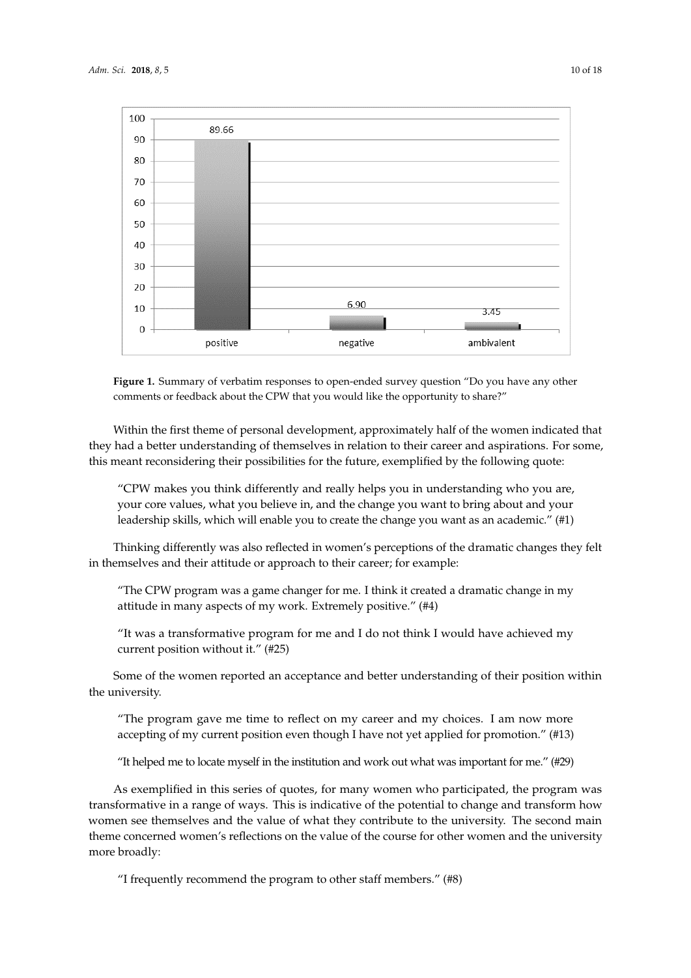<span id="page-9-0"></span>

**Figure 1.** Summary of verbatim responses to open-ended survey question "Do you have any other comments or feedback about the CPW that you would like the opportunity to share?"

Within the first theme of personal development, approximately half of the women indicated that they had a better understanding of themselves in relation to their career and aspirations. For some, this meant reconsidering their possibilities for the future, exemplified by the following quote:

"CPW makes you think differently and really helps you in understanding who you are, your core values, what you believe in, and the change you want to bring about and your leadership skills, which will enable you to create the change you want as an academic." (#1)

Thinking differently was also reflected in women's perceptions of the dramatic changes they felt in themselves and their attitude or approach to their career; for example:

"The CPW program was a game changer for me. I think it created a dramatic change in my attitude in many aspects of my work. Extremely positive." (#4)

"It was a transformative program for me and I do not think I would have achieved my current position without it." (#25)

Some of the women reported an acceptance and better understanding of their position within the university.

"The program gave me time to reflect on my career and my choices. I am now more accepting of my current position even though I have not yet applied for promotion." (#13)

"It helped me to locate myself in the institution and work out what was important for me." (#29)

As exemplified in this series of quotes, for many women who participated, the program was transformative in a range of ways. This is indicative of the potential to change and transform how women see themselves and the value of what they contribute to the university. The second main theme concerned women's reflections on the value of the course for other women and the university more broadly:

"I frequently recommend the program to other staff members." (#8)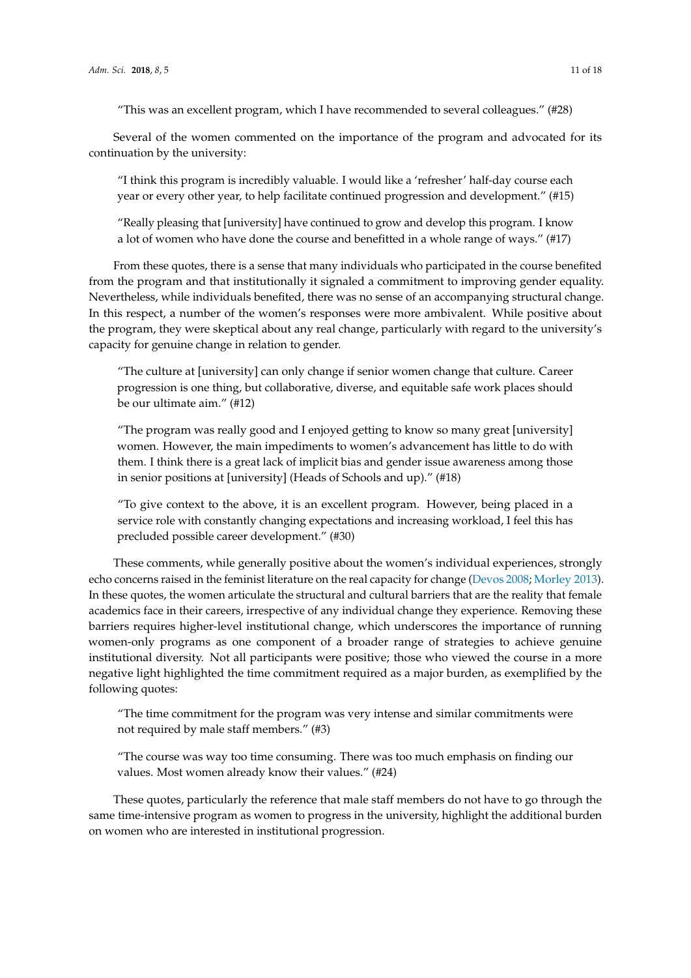"This was an excellent program, which I have recommended to several colleagues." (#28)

Several of the women commented on the importance of the program and advocated for its continuation by the university:

"I think this program is incredibly valuable. I would like a 'refresher' half-day course each year or every other year, to help facilitate continued progression and development." (#15)

"Really pleasing that [university] have continued to grow and develop this program. I know a lot of women who have done the course and benefitted in a whole range of ways." (#17)

From these quotes, there is a sense that many individuals who participated in the course benefited from the program and that institutionally it signaled a commitment to improving gender equality. Nevertheless, while individuals benefited, there was no sense of an accompanying structural change. In this respect, a number of the women's responses were more ambivalent. While positive about the program, they were skeptical about any real change, particularly with regard to the university's capacity for genuine change in relation to gender.

"The culture at [university] can only change if senior women change that culture. Career progression is one thing, but collaborative, diverse, and equitable safe work places should be our ultimate aim." (#12)

"The program was really good and I enjoyed getting to know so many great [university] women. However, the main impediments to women's advancement has little to do with them. I think there is a great lack of implicit bias and gender issue awareness among those in senior positions at [university] (Heads of Schools and up)." (#18)

"To give context to the above, it is an excellent program. However, being placed in a service role with constantly changing expectations and increasing workload, I feel this has precluded possible career development." (#30)

These comments, while generally positive about the women's individual experiences, strongly echo concerns raised in the feminist literature on the real capacity for change [\(Devos](#page-15-13) [2008;](#page-15-13) [Morley](#page-16-4) [2013\)](#page-16-4). In these quotes, the women articulate the structural and cultural barriers that are the reality that female academics face in their careers, irrespective of any individual change they experience. Removing these barriers requires higher-level institutional change, which underscores the importance of running women-only programs as one component of a broader range of strategies to achieve genuine institutional diversity. Not all participants were positive; those who viewed the course in a more negative light highlighted the time commitment required as a major burden, as exemplified by the following quotes:

"The time commitment for the program was very intense and similar commitments were not required by male staff members." (#3)

"The course was way too time consuming. There was too much emphasis on finding our values. Most women already know their values." (#24)

These quotes, particularly the reference that male staff members do not have to go through the same time-intensive program as women to progress in the university, highlight the additional burden on women who are interested in institutional progression.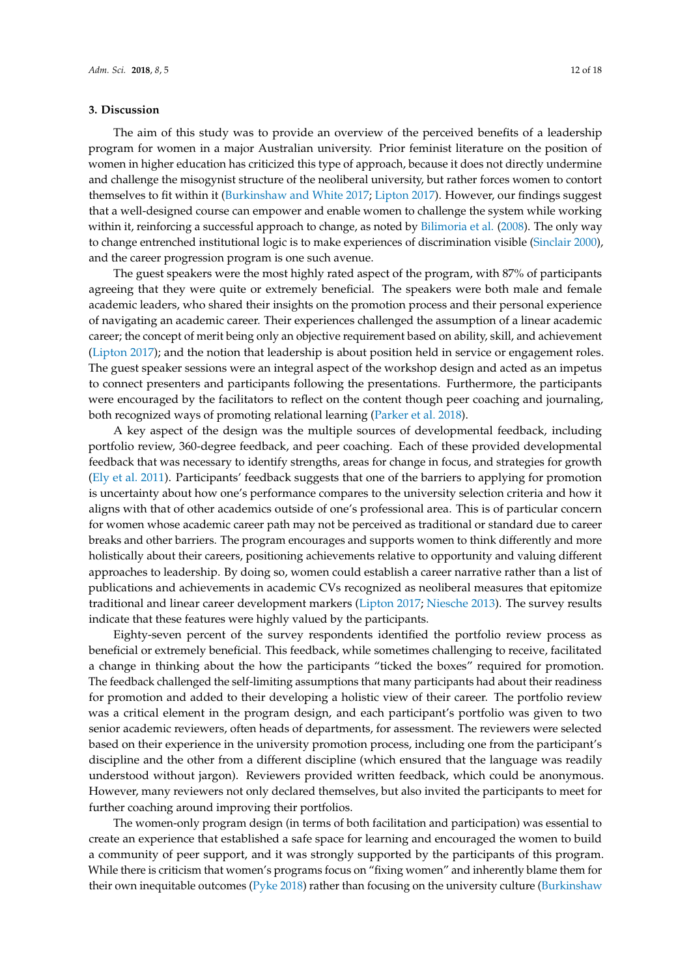#### **3. Discussion**

The aim of this study was to provide an overview of the perceived benefits of a leadership program for women in a major Australian university. Prior feminist literature on the position of women in higher education has criticized this type of approach, because it does not directly undermine and challenge the misogynist structure of the neoliberal university, but rather forces women to contort themselves to fit within it [\(Burkinshaw and White](#page-15-7) [2017;](#page-15-7) [Lipton](#page-16-8) [2017\)](#page-16-8). However, our findings suggest that a well-designed course can empower and enable women to challenge the system while working within it, reinforcing a successful approach to change, as noted by [Bilimoria et al.](#page-15-23) [\(2008\)](#page-15-23). The only way to change entrenched institutional logic is to make experiences of discrimination visible [\(Sinclair](#page-17-16) [2000\)](#page-17-16), and the career progression program is one such avenue.

The guest speakers were the most highly rated aspect of the program, with 87% of participants agreeing that they were quite or extremely beneficial. The speakers were both male and female academic leaders, who shared their insights on the promotion process and their personal experience of navigating an academic career. Their experiences challenged the assumption of a linear academic career; the concept of merit being only an objective requirement based on ability, skill, and achievement [\(Lipton](#page-16-8) [2017\)](#page-16-8); and the notion that leadership is about position held in service or engagement roles. The guest speaker sessions were an integral aspect of the workshop design and acted as an impetus to connect presenters and participants following the presentations. Furthermore, the participants were encouraged by the facilitators to reflect on the content though peer coaching and journaling, both recognized ways of promoting relational learning [\(Parker et al.](#page-16-28) [2018\)](#page-16-28).

A key aspect of the design was the multiple sources of developmental feedback, including portfolio review, 360-degree feedback, and peer coaching. Each of these provided developmental feedback that was necessary to identify strengths, areas for change in focus, and strategies for growth [\(Ely et al.](#page-16-21) [2011\)](#page-16-21). Participants' feedback suggests that one of the barriers to applying for promotion is uncertainty about how one's performance compares to the university selection criteria and how it aligns with that of other academics outside of one's professional area. This is of particular concern for women whose academic career path may not be perceived as traditional or standard due to career breaks and other barriers. The program encourages and supports women to think differently and more holistically about their careers, positioning achievements relative to opportunity and valuing different approaches to leadership. By doing so, women could establish a career narrative rather than a list of publications and achievements in academic CVs recognized as neoliberal measures that epitomize traditional and linear career development markers [\(Lipton](#page-16-8) [2017;](#page-16-8) [Niesche](#page-16-11) [2013\)](#page-16-11). The survey results indicate that these features were highly valued by the participants.

Eighty-seven percent of the survey respondents identified the portfolio review process as beneficial or extremely beneficial. This feedback, while sometimes challenging to receive, facilitated a change in thinking about the how the participants "ticked the boxes" required for promotion. The feedback challenged the self-limiting assumptions that many participants had about their readiness for promotion and added to their developing a holistic view of their career. The portfolio review was a critical element in the program design, and each participant's portfolio was given to two senior academic reviewers, often heads of departments, for assessment. The reviewers were selected based on their experience in the university promotion process, including one from the participant's discipline and the other from a different discipline (which ensured that the language was readily understood without jargon). Reviewers provided written feedback, which could be anonymous. However, many reviewers not only declared themselves, but also invited the participants to meet for further coaching around improving their portfolios.

The women-only program design (in terms of both facilitation and participation) was essential to create an experience that established a safe space for learning and encouraged the women to build a community of peer support, and it was strongly supported by the participants of this program. While there is criticism that women's programs focus on "fixing women" and inherently blame them for their own inequitable outcomes ( $Pyke 2018$ ) rather than focusing on the university culture [\(Burkinshaw](#page-15-7)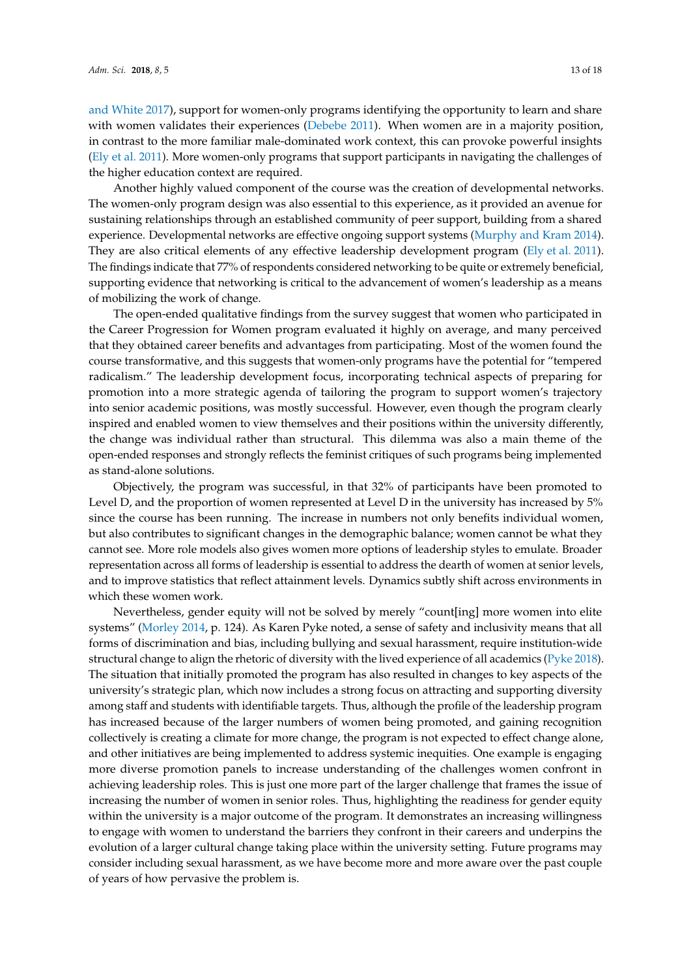[and White](#page-15-7) [2017\)](#page-15-7), support for women-only programs identifying the opportunity to learn and share with women validates their experiences [\(Debebe](#page-15-18) [2011\)](#page-15-18). When women are in a majority position, in contrast to the more familiar male-dominated work context, this can provoke powerful insights [\(Ely et al.](#page-16-21) [2011\)](#page-16-21). More women-only programs that support participants in navigating the challenges of the higher education context are required.

Another highly valued component of the course was the creation of developmental networks. The women-only program design was also essential to this experience, as it provided an avenue for sustaining relationships through an established community of peer support, building from a shared experience. Developmental networks are effective ongoing support systems [\(Murphy and Kram](#page-16-26) [2014\)](#page-16-26). They are also critical elements of any effective leadership development program [\(Ely et al.](#page-16-21) [2011\)](#page-16-21). The findings indicate that 77% of respondents considered networking to be quite or extremely beneficial, supporting evidence that networking is critical to the advancement of women's leadership as a means of mobilizing the work of change.

The open-ended qualitative findings from the survey suggest that women who participated in the Career Progression for Women program evaluated it highly on average, and many perceived that they obtained career benefits and advantages from participating. Most of the women found the course transformative, and this suggests that women-only programs have the potential for "tempered radicalism." The leadership development focus, incorporating technical aspects of preparing for promotion into a more strategic agenda of tailoring the program to support women's trajectory into senior academic positions, was mostly successful. However, even though the program clearly inspired and enabled women to view themselves and their positions within the university differently, the change was individual rather than structural. This dilemma was also a main theme of the open-ended responses and strongly reflects the feminist critiques of such programs being implemented as stand-alone solutions.

Objectively, the program was successful, in that 32% of participants have been promoted to Level D, and the proportion of women represented at Level D in the university has increased by 5% since the course has been running. The increase in numbers not only benefits individual women, but also contributes to significant changes in the demographic balance; women cannot be what they cannot see. More role models also gives women more options of leadership styles to emulate. Broader representation across all forms of leadership is essential to address the dearth of women at senior levels, and to improve statistics that reflect attainment levels. Dynamics subtly shift across environments in which these women work.

Nevertheless, gender equity will not be solved by merely "count[ing] more women into elite systems" [\(Morley](#page-16-10) [2014,](#page-16-10) p. 124). As Karen Pyke noted, a sense of safety and inclusivity means that all forms of discrimination and bias, including bullying and sexual harassment, require institution-wide structural change to align the rhetoric of diversity with the lived experience of all academics [\(Pyke](#page-17-17) [2018\)](#page-17-17). The situation that initially promoted the program has also resulted in changes to key aspects of the university's strategic plan, which now includes a strong focus on attracting and supporting diversity among staff and students with identifiable targets. Thus, although the profile of the leadership program has increased because of the larger numbers of women being promoted, and gaining recognition collectively is creating a climate for more change, the program is not expected to effect change alone, and other initiatives are being implemented to address systemic inequities. One example is engaging more diverse promotion panels to increase understanding of the challenges women confront in achieving leadership roles. This is just one more part of the larger challenge that frames the issue of increasing the number of women in senior roles. Thus, highlighting the readiness for gender equity within the university is a major outcome of the program. It demonstrates an increasing willingness to engage with women to understand the barriers they confront in their careers and underpins the evolution of a larger cultural change taking place within the university setting. Future programs may consider including sexual harassment, as we have become more and more aware over the past couple of years of how pervasive the problem is.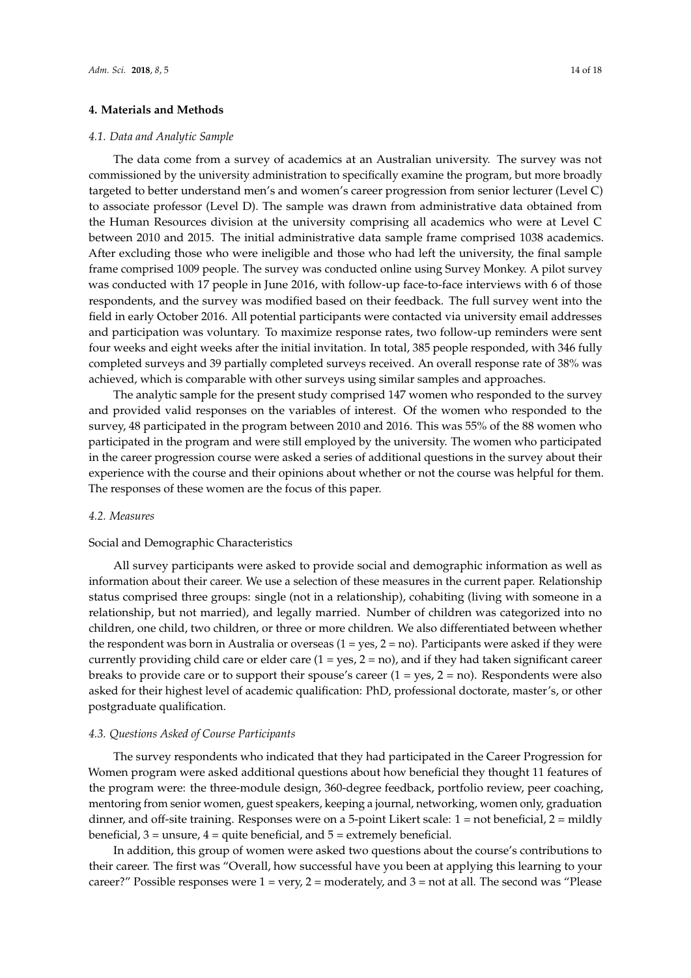## **4. Materials and Methods**

#### *4.1. Data and Analytic Sample*

The data come from a survey of academics at an Australian university. The survey was not commissioned by the university administration to specifically examine the program, but more broadly targeted to better understand men's and women's career progression from senior lecturer (Level C) to associate professor (Level D). The sample was drawn from administrative data obtained from the Human Resources division at the university comprising all academics who were at Level C between 2010 and 2015. The initial administrative data sample frame comprised 1038 academics. After excluding those who were ineligible and those who had left the university, the final sample frame comprised 1009 people. The survey was conducted online using Survey Monkey. A pilot survey was conducted with 17 people in June 2016, with follow-up face-to-face interviews with 6 of those respondents, and the survey was modified based on their feedback. The full survey went into the field in early October 2016. All potential participants were contacted via university email addresses and participation was voluntary. To maximize response rates, two follow-up reminders were sent four weeks and eight weeks after the initial invitation. In total, 385 people responded, with 346 fully completed surveys and 39 partially completed surveys received. An overall response rate of 38% was achieved, which is comparable with other surveys using similar samples and approaches.

The analytic sample for the present study comprised 147 women who responded to the survey and provided valid responses on the variables of interest. Of the women who responded to the survey, 48 participated in the program between 2010 and 2016. This was 55% of the 88 women who participated in the program and were still employed by the university. The women who participated in the career progression course were asked a series of additional questions in the survey about their experience with the course and their opinions about whether or not the course was helpful for them. The responses of these women are the focus of this paper.

#### *4.2. Measures*

#### Social and Demographic Characteristics

All survey participants were asked to provide social and demographic information as well as information about their career. We use a selection of these measures in the current paper. Relationship status comprised three groups: single (not in a relationship), cohabiting (living with someone in a relationship, but not married), and legally married. Number of children was categorized into no children, one child, two children, or three or more children. We also differentiated between whether the respondent was born in Australia or overseas  $(1 = yes, 2 = no)$ . Participants were asked if they were currently providing child care or elder care  $(1 = yes, 2 = no)$ , and if they had taken significant career breaks to provide care or to support their spouse's career  $(1 = yes, 2 = no)$ . Respondents were also asked for their highest level of academic qualification: PhD, professional doctorate, master's, or other postgraduate qualification.

#### *4.3. Questions Asked of Course Participants*

The survey respondents who indicated that they had participated in the Career Progression for Women program were asked additional questions about how beneficial they thought 11 features of the program were: the three-module design, 360-degree feedback, portfolio review, peer coaching, mentoring from senior women, guest speakers, keeping a journal, networking, women only, graduation dinner, and off-site training. Responses were on a 5-point Likert scale:  $1 = not$  beneficial,  $2 =$  mildly beneficial,  $3 =$  unsure,  $4 =$  quite beneficial, and  $5 =$  extremely beneficial.

In addition, this group of women were asked two questions about the course's contributions to their career. The first was "Overall, how successful have you been at applying this learning to your career?" Possible responses were  $1 = \text{very}$ ,  $2 = \text{moderately}$ , and  $3 = \text{not}$  at all. The second was "Please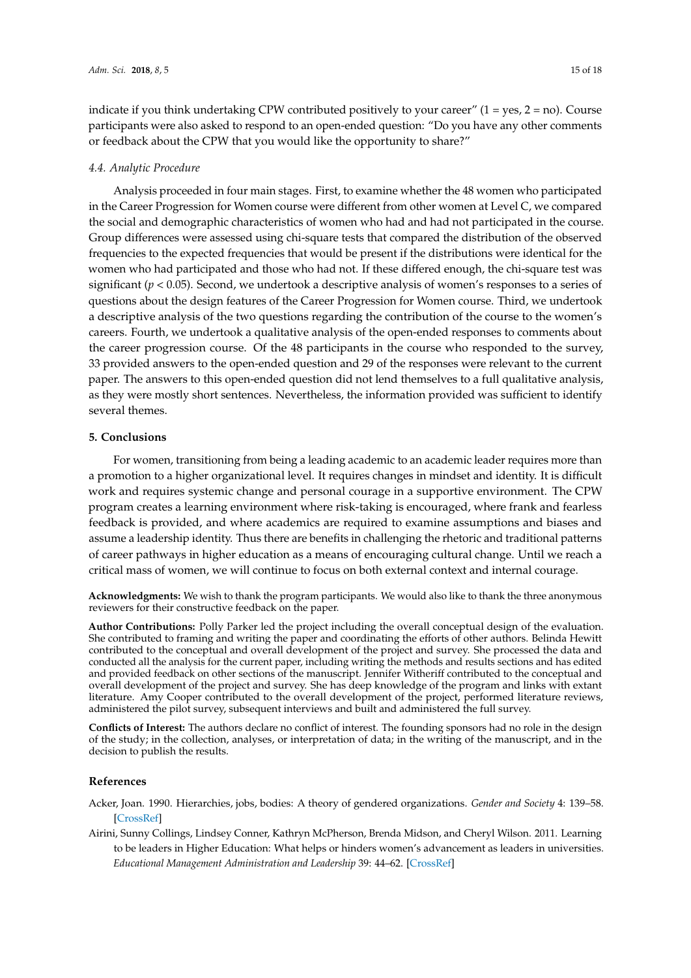indicate if you think undertaking CPW contributed positively to your career"  $(1 = yes, 2 = no)$ . Course participants were also asked to respond to an open-ended question: "Do you have any other comments or feedback about the CPW that you would like the opportunity to share?"

#### *4.4. Analytic Procedure*

Analysis proceeded in four main stages. First, to examine whether the 48 women who participated in the Career Progression for Women course were different from other women at Level C, we compared the social and demographic characteristics of women who had and had not participated in the course. Group differences were assessed using chi-square tests that compared the distribution of the observed frequencies to the expected frequencies that would be present if the distributions were identical for the women who had participated and those who had not. If these differed enough, the chi-square test was significant (*p* < 0.05). Second, we undertook a descriptive analysis of women's responses to a series of questions about the design features of the Career Progression for Women course. Third, we undertook a descriptive analysis of the two questions regarding the contribution of the course to the women's careers. Fourth, we undertook a qualitative analysis of the open-ended responses to comments about the career progression course. Of the 48 participants in the course who responded to the survey, 33 provided answers to the open-ended question and 29 of the responses were relevant to the current paper. The answers to this open-ended question did not lend themselves to a full qualitative analysis, as they were mostly short sentences. Nevertheless, the information provided was sufficient to identify several themes.

# **5. Conclusions**

For women, transitioning from being a leading academic to an academic leader requires more than a promotion to a higher organizational level. It requires changes in mindset and identity. It is difficult work and requires systemic change and personal courage in a supportive environment. The CPW program creates a learning environment where risk-taking is encouraged, where frank and fearless feedback is provided, and where academics are required to examine assumptions and biases and assume a leadership identity. Thus there are benefits in challenging the rhetoric and traditional patterns of career pathways in higher education as a means of encouraging cultural change. Until we reach a critical mass of women, we will continue to focus on both external context and internal courage.

**Acknowledgments:** We wish to thank the program participants. We would also like to thank the three anonymous reviewers for their constructive feedback on the paper.

**Author Contributions:** Polly Parker led the project including the overall conceptual design of the evaluation. She contributed to framing and writing the paper and coordinating the efforts of other authors. Belinda Hewitt contributed to the conceptual and overall development of the project and survey. She processed the data and conducted all the analysis for the current paper, including writing the methods and results sections and has edited and provided feedback on other sections of the manuscript. Jennifer Witheriff contributed to the conceptual and overall development of the project and survey. She has deep knowledge of the program and links with extant literature. Amy Cooper contributed to the overall development of the project, performed literature reviews, administered the pilot survey, subsequent interviews and built and administered the full survey.

**Conflicts of Interest:** The authors declare no conflict of interest. The founding sponsors had no role in the design of the study; in the collection, analyses, or interpretation of data; in the writing of the manuscript, and in the decision to publish the results.

#### **References**

- <span id="page-14-1"></span>Acker, Joan. 1990. Hierarchies, jobs, bodies: A theory of gendered organizations. *Gender and Society* 4: 139–58. [\[CrossRef\]](http://dx.doi.org/10.1177/089124390004002002)
- <span id="page-14-0"></span>Airini, Sunny Collings, Lindsey Conner, Kathryn McPherson, Brenda Midson, and Cheryl Wilson. 2011. Learning to be leaders in Higher Education: What helps or hinders women's advancement as leaders in universities. *Educational Management Administration and Leadership* 39: 44–62. [\[CrossRef\]](http://dx.doi.org/10.1177/1741143210383896)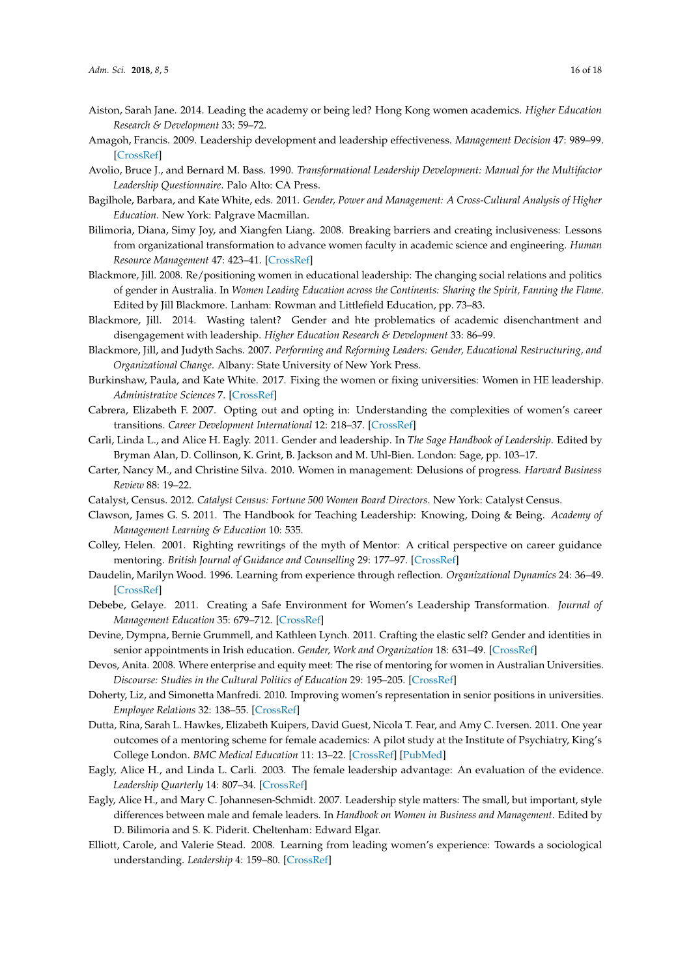- <span id="page-15-3"></span>Aiston, Sarah Jane. 2014. Leading the academy or being led? Hong Kong women academics. *Higher Education Research & Development* 33: 59–72.
- <span id="page-15-20"></span>Amagoh, Francis. 2009. Leadership development and leadership effectiveness. *Management Decision* 47: 989–99. [\[CrossRef\]](http://dx.doi.org/10.1108/00251740910966695)
- <span id="page-15-17"></span>Avolio, Bruce J., and Bernard M. Bass. 1990. *Transformational Leadership Development: Manual for the Multifactor Leadership Questionnaire*. Palo Alto: CA Press.
- <span id="page-15-22"></span>Bagilhole, Barbara, and Kate White, eds. 2011. *Gender, Power and Management: A Cross-Cultural Analysis of Higher Education*. New York: Palgrave Macmillan.
- <span id="page-15-23"></span>Bilimoria, Diana, Simy Joy, and Xiangfen Liang. 2008. Breaking barriers and creating inclusiveness: Lessons from organizational transformation to advance women faculty in academic science and engineering. *Human Resource Management* 47: 423–41. [\[CrossRef\]](http://dx.doi.org/10.1002/hrm.20225)
- <span id="page-15-8"></span>Blackmore, Jill. 2008. Re/positioning women in educational leadership: The changing social relations and politics of gender in Australia. In *Women Leading Education across the Continents: Sharing the Spirit, Fanning the Flame*. Edited by Jill Blackmore. Lanham: Rowman and Littlefield Education, pp. 73–83.
- <span id="page-15-0"></span>Blackmore, Jill. 2014. Wasting talent? Gender and hte problematics of academic disenchantment and disengagement with leadership. *Higher Education Research & Development* 33: 86–99.
- <span id="page-15-6"></span>Blackmore, Jill, and Judyth Sachs. 2007. *Performing and Reforming Leaders: Gender, Educational Restructuring, and Organizational Change*. Albany: State University of New York Press.
- <span id="page-15-7"></span>Burkinshaw, Paula, and Kate White. 2017. Fixing the women or fixing universities: Women in HE leadership. *Administrative Sciences* 7. [\[CrossRef\]](http://dx.doi.org/10.3390/admsci7030030)
- <span id="page-15-15"></span>Cabrera, Elizabeth F. 2007. Opting out and opting in: Understanding the complexities of women's career transitions. *Career Development International* 12: 218–37. [\[CrossRef\]](http://dx.doi.org/10.1108/13620430710745872)
- <span id="page-15-5"></span>Carli, Linda L., and Alice H. Eagly. 2011. Gender and leadership. In *The Sage Handbook of Leadership*. Edited by Bryman Alan, D. Collinson, K. Grint, B. Jackson and M. Uhl-Bien. London: Sage, pp. 103–17.
- <span id="page-15-10"></span>Carter, Nancy M., and Christine Silva. 2010. Women in management: Delusions of progress. *Harvard Business Review* 88: 19–22.
- <span id="page-15-1"></span>Catalyst, Census. 2012. *Catalyst Census: Fortune 500 Women Board Directors*. New York: Catalyst Census.
- <span id="page-15-21"></span>Clawson, James G. S. 2011. The Handbook for Teaching Leadership: Knowing, Doing & Being. *Academy of Management Learning & Education* 10: 535.
- <span id="page-15-12"></span>Colley, Helen. 2001. Righting rewritings of the myth of Mentor: A critical perspective on career guidance mentoring. *British Journal of Guidance and Counselling* 29: 177–97. [\[CrossRef\]](http://dx.doi.org/10.1080/03069880020047120)
- <span id="page-15-19"></span>Daudelin, Marilyn Wood. 1996. Learning from experience through reflection. *Organizational Dynamics* 24: 36–49. [\[CrossRef\]](http://dx.doi.org/10.1016/S0090-2616(96)90004-2)
- <span id="page-15-18"></span>Debebe, Gelaye. 2011. Creating a Safe Environment for Women's Leadership Transformation. *Journal of Management Education* 35: 679–712. [\[CrossRef\]](http://dx.doi.org/10.1177/1052562910397501)
- <span id="page-15-9"></span>Devine, Dympna, Bernie Grummell, and Kathleen Lynch. 2011. Crafting the elastic self? Gender and identities in senior appointments in Irish education. *Gender, Work and Organization* 18: 631–49. [\[CrossRef\]](http://dx.doi.org/10.1111/j.1468-0432.2009.00513.x)
- <span id="page-15-13"></span>Devos, Anita. 2008. Where enterprise and equity meet: The rise of mentoring for women in Australian Universities. *Discourse: Studies in the Cultural Politics of Education* 29: 195–205. [\[CrossRef\]](http://dx.doi.org/10.1080/01596300801966831)
- <span id="page-15-14"></span>Doherty, Liz, and Simonetta Manfredi. 2010. Improving women's representation in senior positions in universities. *Employee Relations* 32: 138–55. [\[CrossRef\]](http://dx.doi.org/10.1108/01425451011010096)
- <span id="page-15-11"></span>Dutta, Rina, Sarah L. Hawkes, Elizabeth Kuipers, David Guest, Nicola T. Fear, and Amy C. Iversen. 2011. One year outcomes of a mentoring scheme for female academics: A pilot study at the Institute of Psychiatry, King's College London. *BMC Medical Education* 11: 13–22. [\[CrossRef\]](http://dx.doi.org/10.1186/1472-6920-11-13) [\[PubMed\]](http://www.ncbi.nlm.nih.gov/pubmed/21473749)
- <span id="page-15-4"></span>Eagly, Alice H., and Linda L. Carli. 2003. The female leadership advantage: An evaluation of the evidence. *Leadership Quarterly* 14: 807–34. [\[CrossRef\]](http://dx.doi.org/10.1016/j.leaqua.2003.09.004)
- <span id="page-15-16"></span>Eagly, Alice H., and Mary C. Johannesen-Schmidt. 2007. Leadership style matters: The small, but important, style differences between male and female leaders. In *Handbook on Women in Business and Management*. Edited by D. Bilimoria and S. K. Piderit. Cheltenham: Edward Elgar.
- <span id="page-15-2"></span>Elliott, Carole, and Valerie Stead. 2008. Learning from leading women's experience: Towards a sociological understanding. *Leadership* 4: 159–80. [\[CrossRef\]](http://dx.doi.org/10.1177/1742715008089636)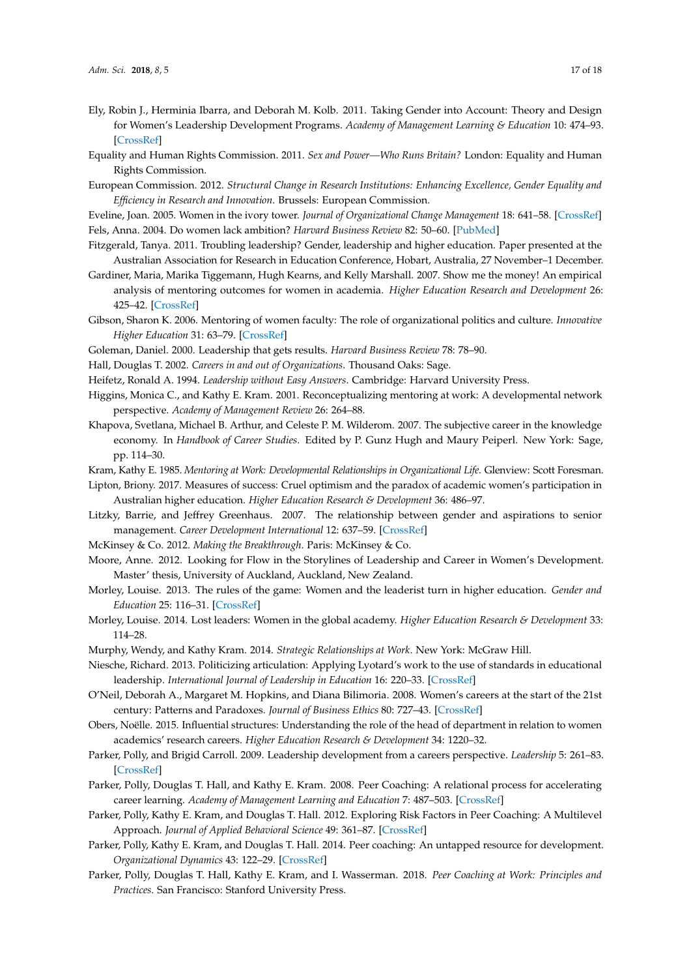- <span id="page-16-21"></span>Ely, Robin J., Herminia Ibarra, and Deborah M. Kolb. 2011. Taking Gender into Account: Theory and Design for Women's Leadership Development Programs. *Academy of Management Learning & Education* 10: 474–93. [\[CrossRef\]](http://dx.doi.org/10.5465/amle.2010.0046)
- <span id="page-16-1"></span>Equality and Human Rights Commission. 2011. *Sex and Power—Who Runs Britain?* London: Equality and Human Rights Commission.
- <span id="page-16-0"></span>European Commission. 2012. *Structural Change in Research Institutions: Enhancing Excellence, Gender Equality and Efficiency in Research and Innovation*. Brussels: European Commission.

<span id="page-16-9"></span><span id="page-16-6"></span>Eveline, Joan. 2005. Women in the ivory tower. *Journal of Organizational Change Management* 18: 641–58. [\[CrossRef\]](http://dx.doi.org/10.1108/09534810510628558) Fels, Anna. 2004. Do women lack ambition? *Harvard Business Review* 82: 50–60. [\[PubMed\]](http://www.ncbi.nlm.nih.gov/pubmed/15077366)

- <span id="page-16-20"></span>Fitzgerald, Tanya. 2011. Troubling leadership? Gender, leadership and higher education. Paper presented at the Australian Association for Research in Education Conference, Hobart, Australia, 27 November–1 December.
- <span id="page-16-3"></span>Gardiner, Maria, Marika Tiggemann, Hugh Kearns, and Kelly Marshall. 2007. Show me the money! An empirical analysis of mentoring outcomes for women in academia. *Higher Education Research and Development* 26: 425–42. [\[CrossRef\]](http://dx.doi.org/10.1080/07294360701658633)
- <span id="page-16-27"></span>Gibson, Sharon K. 2006. Mentoring of women faculty: The role of organizational politics and culture. *Innovative Higher Education* 31: 63–79. [\[CrossRef\]](http://dx.doi.org/10.1007/s10755-006-9007-7)
- <span id="page-16-16"></span><span id="page-16-14"></span>Goleman, Daniel. 2000. Leadership that gets results. *Harvard Business Review* 78: 78–90.
- <span id="page-16-17"></span>Hall, Douglas T. 2002. *Careers in and out of Organizations*. Thousand Oaks: Sage.
- <span id="page-16-23"></span>Heifetz, Ronald A. 1994. *Leadership without Easy Answers*. Cambridge: Harvard University Press.
- Higgins, Monica C., and Kathy E. Kram. 2001. Reconceptualizing mentoring at work: A developmental network perspective. *Academy of Management Review* 26: 264–88.
- <span id="page-16-15"></span>Khapova, Svetlana, Michael B. Arthur, and Celeste P. M. Wilderom. 2007. The subjective career in the knowledge economy. In *Handbook of Career Studies*. Edited by P. Gunz Hugh and Maury Peiperl. New York: Sage, pp. 114–30.
- <span id="page-16-18"></span><span id="page-16-8"></span>Kram, Kathy E. 1985. *Mentoring at Work: Developmental Relationships in Organizational Life*. Glenview: Scott Foresman.
- Lipton, Briony. 2017. Measures of success: Cruel optimism and the paradox of academic women's participation in Australian higher education. *Higher Education Research & Development* 36: 486–97.
- <span id="page-16-7"></span>Litzky, Barrie, and Jeffrey Greenhaus. 2007. The relationship between gender and aspirations to senior management. *Career Development International* 12: 637–59. [\[CrossRef\]](http://dx.doi.org/10.1108/13620430710834404)
- <span id="page-16-19"></span><span id="page-16-2"></span>McKinsey & Co. 2012. *Making the Breakthrough*. Paris: McKinsey & Co.
- Moore, Anne. 2012. Looking for Flow in the Storylines of Leadership and Career in Women's Development. Master' thesis, University of Auckland, Auckland, New Zealand.
- <span id="page-16-4"></span>Morley, Louise. 2013. The rules of the game: Women and the leaderist turn in higher education. *Gender and Education* 25: 116–31. [\[CrossRef\]](http://dx.doi.org/10.1080/09540253.2012.740888)
- <span id="page-16-10"></span>Morley, Louise. 2014. Lost leaders: Women in the global academy. *Higher Education Research & Development* 33: 114–28.
- <span id="page-16-26"></span>Murphy, Wendy, and Kathy Kram. 2014. *Strategic Relationships at Work*. New York: McGraw Hill.
- <span id="page-16-11"></span>Niesche, Richard. 2013. Politicizing articulation: Applying Lyotard's work to the use of standards in educational leadership. *International Journal of Leadership in Education* 16: 220–33. [\[CrossRef\]](http://dx.doi.org/10.1080/13603124.2012.688874)
- <span id="page-16-5"></span>O'Neil, Deborah A., Margaret M. Hopkins, and Diana Bilimoria. 2008. Women's careers at the start of the 21st century: Patterns and Paradoxes. *Journal of Business Ethics* 80: 727–43. [\[CrossRef\]](http://dx.doi.org/10.1007/s10551-007-9465-6)
- <span id="page-16-22"></span>Obers, Noëlle. 2015. Influential structures: Understanding the role of the head of department in relation to women academics' research careers. *Higher Education Research & Development* 34: 1220–32.
- <span id="page-16-12"></span>Parker, Polly, and Brigid Carroll. 2009. Leadership development from a careers perspective. *Leadership* 5: 261–83. [\[CrossRef\]](http://dx.doi.org/10.1177/1742715009102940)
- <span id="page-16-24"></span>Parker, Polly, Douglas T. Hall, and Kathy E. Kram. 2008. Peer Coaching: A relational process for accelerating career learning. *Academy of Management Learning and Education* 7: 487–503. [\[CrossRef\]](http://dx.doi.org/10.5465/AMLE.2008.35882189)
- <span id="page-16-13"></span>Parker, Polly, Kathy E. Kram, and Douglas T. Hall. 2012. Exploring Risk Factors in Peer Coaching: A Multilevel Approach. *Journal of Applied Behavioral Science* 49: 361–87. [\[CrossRef\]](http://dx.doi.org/10.1177/0021886312468484)
- <span id="page-16-25"></span>Parker, Polly, Kathy E. Kram, and Douglas T. Hall. 2014. Peer coaching: An untapped resource for development. *Organizational Dynamics* 43: 122–29. [\[CrossRef\]](http://dx.doi.org/10.1016/j.orgdyn.2014.03.006)
- <span id="page-16-28"></span>Parker, Polly, Douglas T. Hall, Kathy E. Kram, and I. Wasserman. 2018. *Peer Coaching at Work: Principles and Practices*. San Francisco: Stanford University Press.